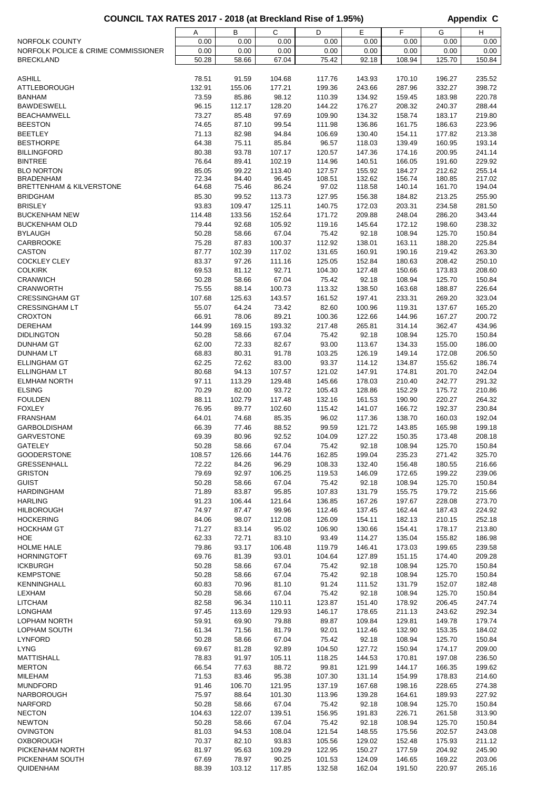## COUNCIL TAX RATES 2017 - 2018 (at Breckland Rise of 1.95%) **Appendix C**

|                                     | Α      | В      | С      | D      | Е      | F      | G      | н      |
|-------------------------------------|--------|--------|--------|--------|--------|--------|--------|--------|
| NORFOLK COUNTY                      | 0.00   | 0.00   | 0.00   | 0.00   | 0.00   | 0.00   | 0.00   | 0.00   |
|                                     | 0.00   |        |        | 0.00   |        |        |        |        |
| NORFOLK POLICE & CRIME COMMISSIONER |        | 0.00   | 0.00   |        | 0.00   | 0.00   | 0.00   | 0.00   |
| <b>BRECKLAND</b>                    | 50.28  | 58.66  | 67.04  | 75.42  | 92.18  | 108.94 | 125.70 | 150.84 |
|                                     |        |        |        |        |        |        |        |        |
| <b>ASHILL</b>                       | 78.51  | 91.59  | 104.68 | 117.76 | 143.93 | 170.10 | 196.27 | 235.52 |
| <b>ATTLEBOROUGH</b>                 | 132.91 | 155.06 | 177.21 | 199.36 | 243.66 | 287.96 | 332.27 | 398.72 |
|                                     |        |        |        |        |        |        |        |        |
| <b>BANHAM</b>                       | 73.59  | 85.86  | 98.12  | 110.39 | 134.92 | 159.45 | 183.98 | 220.78 |
| <b>BAWDESWELL</b>                   | 96.15  | 112.17 | 128.20 | 144.22 | 176.27 | 208.32 | 240.37 | 288.44 |
| <b>BEACHAMWELL</b>                  | 73.27  | 85.48  | 97.69  | 109.90 | 134.32 | 158.74 | 183.17 | 219.80 |
| <b>BEESTON</b>                      | 74.65  | 87.10  | 99.54  | 111.98 | 136.86 | 161.75 | 186.63 | 223.96 |
|                                     |        |        |        |        |        |        |        |        |
| <b>BEETLEY</b>                      | 71.13  | 82.98  | 94.84  | 106.69 | 130.40 | 154.11 | 177.82 | 213.38 |
| <b>BESTHORPE</b>                    | 64.38  | 75.11  | 85.84  | 96.57  | 118.03 | 139.49 | 160.95 | 193.14 |
| <b>BILLINGFORD</b>                  | 80.38  | 93.78  | 107.17 | 120.57 | 147.36 | 174.16 | 200.95 | 241.14 |
| <b>BINTREE</b>                      | 76.64  | 89.41  | 102.19 | 114.96 | 140.51 | 166.05 | 191.60 | 229.92 |
|                                     | 85.05  | 99.22  | 113.40 | 127.57 | 155.92 | 184.27 | 212.62 | 255.14 |
| <b>BLO NORTON</b>                   |        |        |        |        |        |        |        |        |
| <b>BRADENHAM</b>                    | 72.34  | 84.40  | 96.45  | 108.51 | 132.62 | 156.74 | 180.85 | 217.02 |
| <b>BRETTENHAM &amp; KILVERSTONE</b> | 64.68  | 75.46  | 86.24  | 97.02  | 118.58 | 140.14 | 161.70 | 194.04 |
| <b>BRIDGHAM</b>                     | 85.30  | 99.52  | 113.73 | 127.95 | 156.38 | 184.82 | 213.25 | 255.90 |
| <b>BRISLEY</b>                      | 93.83  | 109.47 | 125.11 | 140.75 | 172.03 | 203.31 | 234.58 | 281.50 |
| <b>BUCKENHAM NEW</b>                | 114.48 | 133.56 | 152.64 | 171.72 | 209.88 | 248.04 | 286.20 | 343.44 |
|                                     |        |        |        |        |        |        |        |        |
| <b>BUCKENHAM OLD</b>                | 79.44  | 92.68  | 105.92 | 119.16 | 145.64 | 172.12 | 198.60 | 238.32 |
| <b>BYLAUGH</b>                      | 50.28  | 58.66  | 67.04  | 75.42  | 92.18  | 108.94 | 125.70 | 150.84 |
| <b>CARBROOKE</b>                    | 75.28  | 87.83  | 100.37 | 112.92 | 138.01 | 163.11 | 188.20 | 225.84 |
| <b>CASTON</b>                       | 87.77  | 102.39 | 117.02 | 131.65 | 160.91 | 190.16 | 219.42 | 263.30 |
|                                     |        |        |        |        |        |        |        |        |
| <b>COCKLEY CLEY</b>                 | 83.37  | 97.26  | 111.16 | 125.05 | 152.84 | 180.63 | 208.42 | 250.10 |
| <b>COLKIRK</b>                      | 69.53  | 81.12  | 92.71  | 104.30 | 127.48 | 150.66 | 173.83 | 208.60 |
| <b>CRANWICH</b>                     | 50.28  | 58.66  | 67.04  | 75.42  | 92.18  | 108.94 | 125.70 | 150.84 |
| <b>CRANWORTH</b>                    | 75.55  | 88.14  | 100.73 | 113.32 | 138.50 | 163.68 | 188.87 | 226.64 |
| <b>CRESSINGHAM GT</b>               | 107.68 | 125.63 | 143.57 | 161.52 | 197.41 | 233.31 | 269.20 | 323.04 |
|                                     |        |        |        |        |        |        |        |        |
| <b>CRESSINGHAM LT</b>               | 55.07  | 64.24  | 73.42  | 82.60  | 100.96 | 119.31 | 137.67 | 165.20 |
| <b>CROXTON</b>                      | 66.91  | 78.06  | 89.21  | 100.36 | 122.66 | 144.96 | 167.27 | 200.72 |
| <b>DEREHAM</b>                      | 144.99 | 169.15 | 193.32 | 217.48 | 265.81 | 314.14 | 362.47 | 434.96 |
| <b>DIDLINGTON</b>                   | 50.28  | 58.66  | 67.04  | 75.42  | 92.18  | 108.94 | 125.70 | 150.84 |
|                                     |        |        |        |        |        |        |        |        |
| <b>DUNHAM GT</b>                    | 62.00  | 72.33  | 82.67  | 93.00  | 113.67 | 134.33 | 155.00 | 186.00 |
| <b>DUNHAM LT</b>                    | 68.83  | 80.31  | 91.78  | 103.25 | 126.19 | 149.14 | 172.08 | 206.50 |
| <b>ELLINGHAM GT</b>                 | 62.25  | 72.62  | 83.00  | 93.37  | 114.12 | 134.87 | 155.62 | 186.74 |
| <b>ELLINGHAM LT</b>                 | 80.68  | 94.13  | 107.57 | 121.02 | 147.91 | 174.81 | 201.70 | 242.04 |
|                                     |        |        |        |        |        |        |        |        |
| <b>ELMHAM NORTH</b>                 | 97.11  | 113.29 | 129.48 | 145.66 | 178.03 | 210.40 | 242.77 | 291.32 |
| <b>ELSING</b>                       | 70.29  | 82.00  | 93.72  | 105.43 | 128.86 | 152.29 | 175.72 | 210.86 |
| <b>FOULDEN</b>                      | 88.11  | 102.79 | 117.48 | 132.16 | 161.53 | 190.90 | 220.27 | 264.32 |
| <b>FOXLEY</b>                       | 76.95  | 89.77  | 102.60 | 115.42 | 141.07 | 166.72 | 192.37 | 230.84 |
| <b>FRANSHAM</b>                     | 64.01  | 74.68  | 85.35  | 96.02  | 117.36 | 138.70 | 160.03 | 192.04 |
|                                     |        |        |        |        |        |        |        |        |
| <b>GARBOLDISHAM</b>                 | 66.39  | 77.46  | 88.52  | 99.59  | 121.72 | 143.85 | 165.98 | 199.18 |
| <b>GARVESTONE</b>                   | 69.39  | 80.96  | 92.52  | 104.09 | 127.22 | 150.35 | 173.48 | 208.18 |
| <b>GATELEY</b>                      | 50.28  | 58.66  | 67.04  | 75.42  | 92.18  | 108.94 | 125.70 | 150.84 |
| <b>GOODERSTONE</b>                  | 108.57 | 126.66 | 144.76 | 162.85 | 199.04 | 235.23 | 271.42 | 325.70 |
|                                     |        |        |        |        |        |        |        |        |
| <b>GRESSENHALL</b>                  | 72.22  | 84.26  | 96.29  | 108.33 | 132.40 | 156.48 | 180.55 | 216.66 |
| <b>GRISTON</b>                      | 79.69  | 92.97  | 106.25 | 119.53 | 146.09 | 172.65 | 199.22 | 239.06 |
| <b>GUIST</b>                        | 50.28  | 58.66  | 67.04  | 75.42  | 92.18  | 108.94 | 125.70 | 150.84 |
| <b>HARDINGHAM</b>                   | 71.89  | 83.87  | 95.85  | 107.83 | 131.79 | 155.75 | 179.72 | 215.66 |
| <b>HARLING</b>                      | 91.23  | 106.44 | 121.64 | 136.85 | 167.26 | 197.67 | 228.08 | 273.70 |
|                                     |        |        |        |        |        |        |        |        |
| <b>HILBOROUGH</b>                   | 74.97  | 87.47  | 99.96  | 112.46 | 137.45 | 162.44 | 187.43 | 224.92 |
| <b>HOCKERING</b>                    | 84.06  | 98.07  | 112.08 | 126.09 | 154.11 | 182.13 | 210.15 | 252.18 |
| <b>HOCKHAM GT</b>                   | 71.27  | 83.14  | 95.02  | 106.90 | 130.66 | 154.41 | 178.17 | 213.80 |
| HOE                                 | 62.33  | 72.71  | 83.10  | 93.49  | 114.27 | 135.04 | 155.82 | 186.98 |
| <b>HOLME HALE</b>                   | 79.86  | 93.17  | 106.48 | 119.79 | 146.41 | 173.03 | 199.65 | 239.58 |
|                                     |        |        |        |        |        |        |        |        |
| <b>HORNINGTOFT</b>                  | 69.76  | 81.39  | 93.01  | 104.64 | 127.89 | 151.15 | 174.40 | 209.28 |
| <b>ICKBURGH</b>                     | 50.28  | 58.66  | 67.04  | 75.42  | 92.18  | 108.94 | 125.70 | 150.84 |
| <b>KEMPSTONE</b>                    | 50.28  | 58.66  | 67.04  | 75.42  | 92.18  | 108.94 | 125.70 | 150.84 |
| <b>KENNINGHALL</b>                  | 60.83  | 70.96  | 81.10  | 91.24  | 111.52 | 131.79 | 152.07 | 182.48 |
|                                     |        |        |        |        |        |        |        |        |
| LEXHAM                              | 50.28  | 58.66  | 67.04  | 75.42  | 92.18  | 108.94 | 125.70 | 150.84 |
| <b>LITCHAM</b>                      | 82.58  | 96.34  | 110.11 | 123.87 | 151.40 | 178.92 | 206.45 | 247.74 |
| <b>LONGHAM</b>                      | 97.45  | 113.69 | 129.93 | 146.17 | 178.65 | 211.13 | 243.62 | 292.34 |
| <b>LOPHAM NORTH</b>                 | 59.91  | 69.90  | 79.88  | 89.87  | 109.84 | 129.81 | 149.78 | 179.74 |
| LOPHAM SOUTH                        |        |        |        |        |        |        |        |        |
|                                     | 61.34  | 71.56  | 81.79  | 92.01  | 112.46 | 132.90 | 153.35 | 184.02 |
| <b>LYNFORD</b>                      | 50.28  | 58.66  | 67.04  | 75.42  | 92.18  | 108.94 | 125.70 | 150.84 |
| <b>LYNG</b>                         | 69.67  | 81.28  | 92.89  | 104.50 | 127.72 | 150.94 | 174.17 | 209.00 |
| <b>MATTISHALL</b>                   | 78.83  | 91.97  | 105.11 | 118.25 | 144.53 | 170.81 | 197.08 | 236.50 |
| <b>MERTON</b>                       | 66.54  | 77.63  | 88.72  | 99.81  | 121.99 | 144.17 | 166.35 | 199.62 |
|                                     |        |        |        |        |        |        |        |        |
| <b>MILEHAM</b>                      | 71.53  | 83.46  | 95.38  | 107.30 | 131.14 | 154.99 | 178.83 | 214.60 |
| <b>MUNDFORD</b>                     | 91.46  | 106.70 | 121.95 | 137.19 | 167.68 | 198.16 | 228.65 | 274.38 |
| <b>NARBOROUGH</b>                   | 75.97  | 88.64  | 101.30 | 113.96 | 139.28 | 164.61 | 189.93 | 227.92 |
| <b>NARFORD</b>                      | 50.28  | 58.66  | 67.04  | 75.42  | 92.18  | 108.94 | 125.70 | 150.84 |
|                                     |        |        |        |        |        |        |        |        |
| <b>NECTON</b>                       | 104.63 | 122.07 | 139.51 | 156.95 | 191.83 | 226.71 | 261.58 | 313.90 |
| <b>NEWTON</b>                       | 50.28  | 58.66  | 67.04  | 75.42  | 92.18  | 108.94 | 125.70 | 150.84 |
| <b>OVINGTON</b>                     | 81.03  | 94.53  | 108.04 | 121.54 | 148.55 | 175.56 | 202.57 | 243.08 |
| <b>OXBOROUGH</b>                    | 70.37  | 82.10  | 93.83  | 105.56 | 129.02 | 152.48 | 175.93 | 211.12 |
| PICKENHAM NORTH                     |        |        |        |        |        |        |        |        |
|                                     | 81.97  | 95.63  | 109.29 | 122.95 | 150.27 | 177.59 | 204.92 | 245.90 |
| PICKENHAM SOUTH                     | 67.69  | 78.97  | 90.25  | 101.53 | 124.09 | 146.65 | 169.22 | 203.06 |
| QUIDENHAM                           | 88.39  | 103.12 | 117.85 | 132.58 | 162.04 | 191.50 | 220.97 | 265.16 |